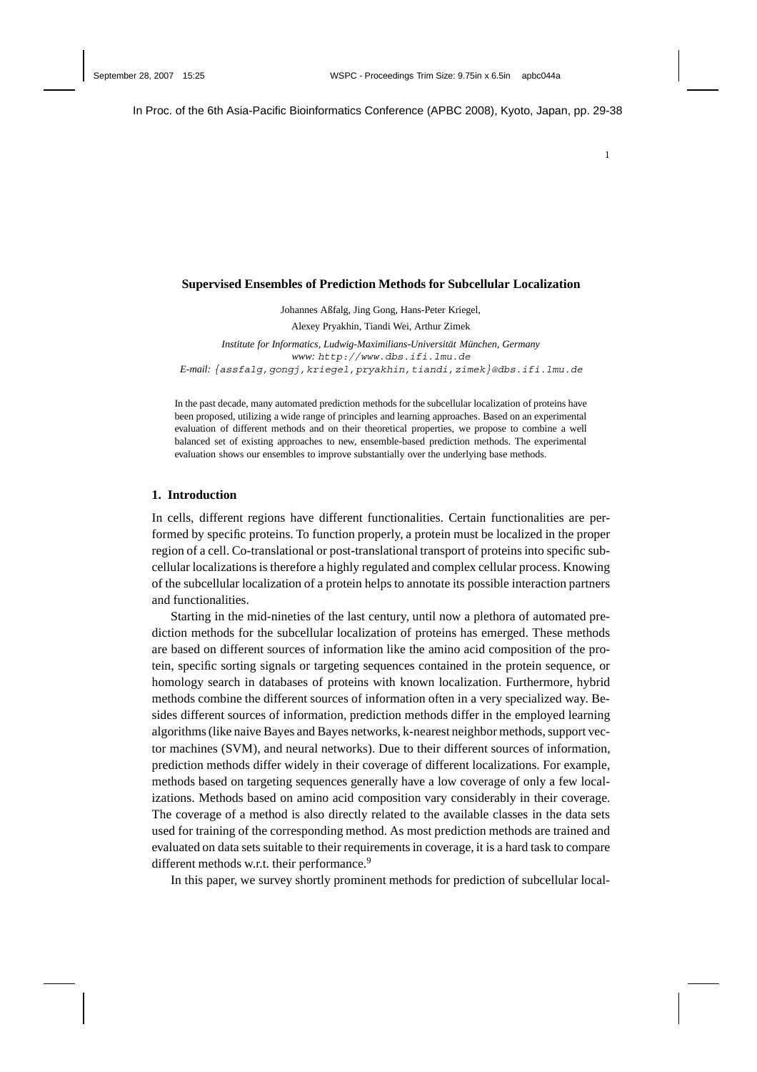In Proc. of the 6th Asia-Pacific Bioinformatics Conference (APBC 2008), Kyoto, Japan, pp. 29-38

#### **Supervised Ensembles of Prediction Methods for Subcellular Localization**

Johannes Aßfalg, Jing Gong, Hans-Peter Kriegel, Alexey Pryakhin, Tiandi Wei, Arthur Zimek *Institute for Informatics, Ludwig-Maximilians-Universität München, Germany www: http://www.dbs.ifi.lmu.de E-mail: {assfalg,gongj,kriegel,pryakhin,tiandi,zimek}@dbs.ifi.lmu.de*

In the past decade, many automated prediction methods for the subcellular localization of proteins have been proposed, utilizing a wide range of principles and learning approaches. Based on an experimental evaluation of different methods and on their theoretical properties, we propose to combine a well balanced set of existing approaches to new, ensemble-based prediction methods. The experimental evaluation shows our ensembles to improve substantially over the underlying base methods.

#### **1. Introduction**

In cells, different regions have different functionalities. Certain functionalities are performed by specific proteins. To function properly, a protein must be localized in the proper region of a cell. Co-translational or post-translational transport of proteins into specific subcellular localizations is therefore a highly regulated and complex cellular process. Knowing of the subcellular localization of a protein helps to annotate its possible interaction partners and functionalities.

Starting in the mid-nineties of the last century, until now a plethora of automated prediction methods for the subcellular localization of proteins has emerged. These methods are based on different sources of information like the amino acid composition of the protein, specific sorting signals or targeting sequences contained in the protein sequence, or homology search in databases of proteins with known localization. Furthermore, hybrid methods combine the different sources of information often in a very specialized way. Besides different sources of information, prediction methods differ in the employed learning algorithms (like naive Bayes and Bayes networks, k-nearest neighbor methods, support vector machines (SVM), and neural networks). Due to their different sources of information, prediction methods differ widely in their coverage of different localizations. For example, methods based on targeting sequences generally have a low coverage of only a few localizations. Methods based on amino acid composition vary considerably in their coverage. The coverage of a method is also directly related to the available classes in the data sets used for training of the corresponding method. As most prediction methods are trained and evaluated on data sets suitable to their requirements in coverage, it is a hard task to compare different methods w.r.t. their performance.<sup>9</sup>

In this paper, we survey shortly prominent methods for prediction of subcellular local-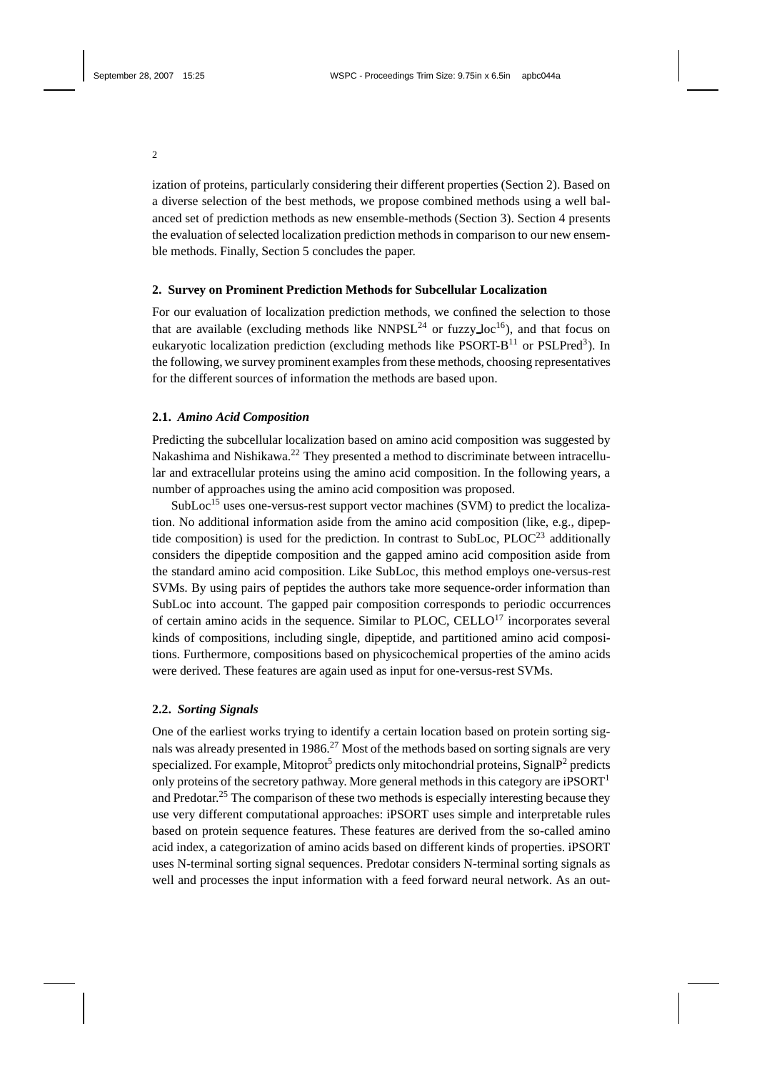ization of proteins, particularly considering their different properties (Section 2). Based on a diverse selection of the best methods, we propose combined methods using a well balanced set of prediction methods as new ensemble-methods (Section 3). Section 4 presents the evaluation of selected localization prediction methods in comparison to our new ensemble methods. Finally, Section 5 concludes the paper.

# **2. Survey on Prominent Prediction Methods for Subcellular Localization**

For our evaluation of localization prediction methods, we confined the selection to those that are available (excluding methods like NNPSL<sup>24</sup> or fuzzy\_loc<sup>16</sup>), and that focus on eukaryotic localization prediction (excluding methods like PSORT- $B<sup>11</sup>$  or PSLPred<sup>3</sup>). In the following, we survey prominent examples from these methods, choosing representatives for the different sources of information the methods are based upon.

#### **2.1.** *Amino Acid Composition*

Predicting the subcellular localization based on amino acid composition was suggested by Nakashima and Nishikawa.<sup>22</sup> They presented a method to discriminate between intracellular and extracellular proteins using the amino acid composition. In the following years, a number of approaches using the amino acid composition was proposed.

 $SubLoc<sup>15</sup>$  uses one-versus-rest support vector machines (SVM) to predict the localization. No additional information aside from the amino acid composition (like, e.g., dipeptide composition) is used for the prediction. In contrast to SubLoc,  $PLOC^{23}$  additionally considers the dipeptide composition and the gapped amino acid composition aside from the standard amino acid composition. Like SubLoc, this method employs one-versus-rest SVMs. By using pairs of peptides the authors take more sequence-order information than SubLoc into account. The gapped pair composition corresponds to periodic occurrences of certain amino acids in the sequence. Similar to PLOC, CELLO<sup>17</sup> incorporates several kinds of compositions, including single, dipeptide, and partitioned amino acid compositions. Furthermore, compositions based on physicochemical properties of the amino acids were derived. These features are again used as input for one-versus-rest SVMs.

#### **2.2.** *Sorting Signals*

One of the earliest works trying to identify a certain location based on protein sorting signals was already presented in 1986.<sup>27</sup> Most of the methods based on sorting signals are very specialized. For example, Mitoprot<sup>5</sup> predicts only mitochondrial proteins, Signal $P<sup>2</sup>$  predicts only proteins of the secretory pathway. More general methods in this category are iPSORT<sup>1</sup> and Predotar.<sup>25</sup> The comparison of these two methods is especially interesting because they use very different computational approaches: iPSORT uses simple and interpretable rules based on protein sequence features. These features are derived from the so-called amino acid index, a categorization of amino acids based on different kinds of properties. iPSORT uses N-terminal sorting signal sequences. Predotar considers N-terminal sorting signals as well and processes the input information with a feed forward neural network. As an out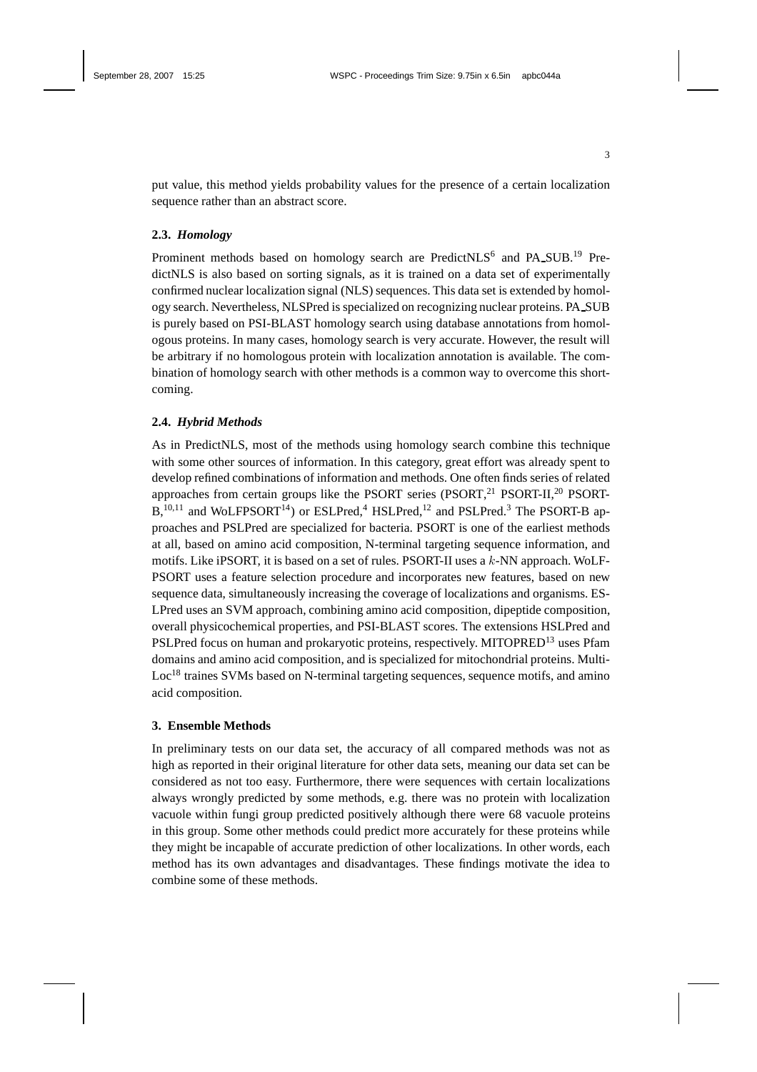put value, this method yields probability values for the presence of a certain localization sequence rather than an abstract score.

## **2.3.** *Homology*

Prominent methods based on homology search are PredictNLS<sup>6</sup> and PA\_SUB.<sup>19</sup> PredictNLS is also based on sorting signals, as it is trained on a data set of experimentally confirmed nuclear localization signal (NLS) sequences. This data set is extended by homology search. Nevertheless, NLSPred is specialized on recognizing nuclear proteins. PA SUB is purely based on PSI-BLAST homology search using database annotations from homologous proteins. In many cases, homology search is very accurate. However, the result will be arbitrary if no homologous protein with localization annotation is available. The combination of homology search with other methods is a common way to overcome this shortcoming.

## **2.4.** *Hybrid Methods*

As in PredictNLS, most of the methods using homology search combine this technique with some other sources of information. In this category, great effort was already spent to develop refined combinations of information and methods. One often finds series of related approaches from certain groups like the PSORT series (PSORT,<sup>21</sup> PSORT-II,<sup>20</sup> PSORT- $B$ ,<sup>10,11</sup> and WoLFPSORT<sup>14</sup>) or ESLPred,<sup>4</sup> HSLPred,<sup>12</sup> and PSLPred.<sup>3</sup> The PSORT-B approaches and PSLPred are specialized for bacteria. PSORT is one of the earliest methods at all, based on amino acid composition, N-terminal targeting sequence information, and motifs. Like iPSORT, it is based on a set of rules. PSORT-II uses a  $k$ -NN approach. WoLF-PSORT uses a feature selection procedure and incorporates new features, based on new sequence data, simultaneously increasing the coverage of localizations and organisms. ES-LPred uses an SVM approach, combining amino acid composition, dipeptide composition, overall physicochemical properties, and PSI-BLAST scores. The extensions HSLPred and PSLPred focus on human and prokaryotic proteins, respectively. MITOPRED<sup>13</sup> uses Pfam domains and amino acid composition, and is specialized for mitochondrial proteins. Multi-Loc<sup>18</sup> traines SVMs based on N-terminal targeting sequences, sequence motifs, and amino acid composition.

### **3. Ensemble Methods**

In preliminary tests on our data set, the accuracy of all compared methods was not as high as reported in their original literature for other data sets, meaning our data set can be considered as not too easy. Furthermore, there were sequences with certain localizations always wrongly predicted by some methods, e.g. there was no protein with localization vacuole within fungi group predicted positively although there were 68 vacuole proteins in this group. Some other methods could predict more accurately for these proteins while they might be incapable of accurate prediction of other localizations. In other words, each method has its own advantages and disadvantages. These findings motivate the idea to combine some of these methods.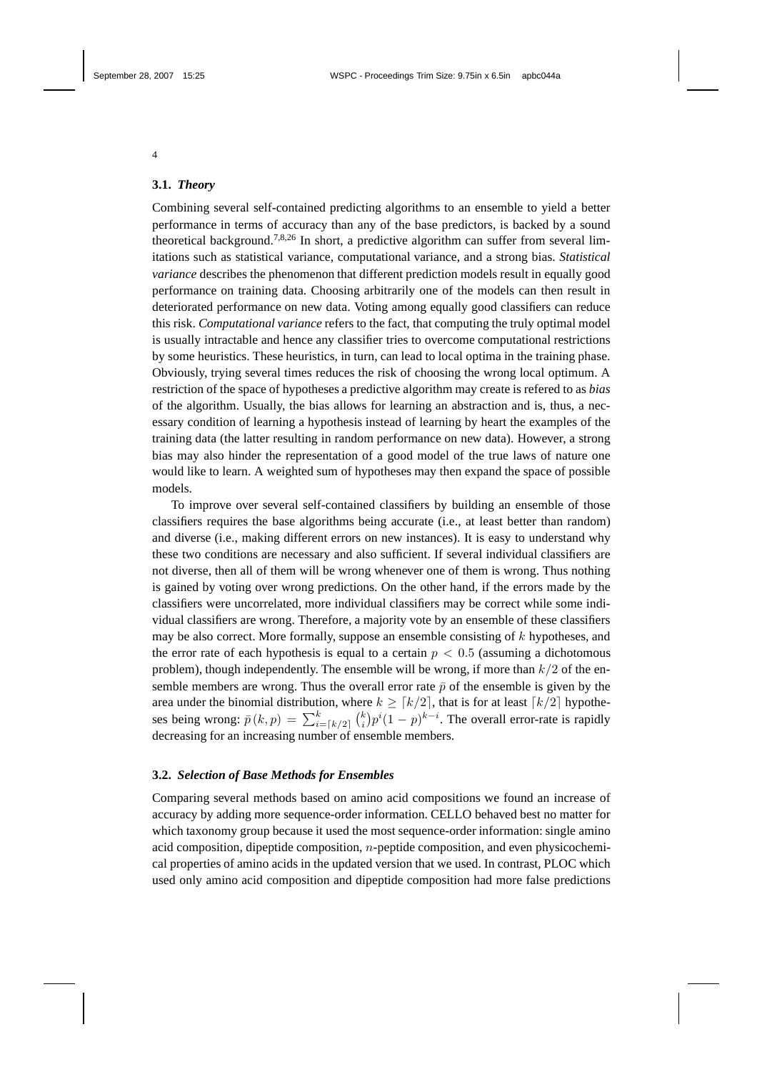### **3.1.** *Theory*

Combining several self-contained predicting algorithms to an ensemble to yield a better performance in terms of accuracy than any of the base predictors, is backed by a sound theoretical background.7,8,26 In short, a predictive algorithm can suffer from several limitations such as statistical variance, computational variance, and a strong bias. *Statistical variance* describes the phenomenon that different prediction models result in equally good performance on training data. Choosing arbitrarily one of the models can then result in deteriorated performance on new data. Voting among equally good classifiers can reduce this risk. *Computational variance* refers to the fact, that computing the truly optimal model is usually intractable and hence any classifier tries to overcome computational restrictions by some heuristics. These heuristics, in turn, can lead to local optima in the training phase. Obviously, trying several times reduces the risk of choosing the wrong local optimum. A restriction of the space of hypotheses a predictive algorithm may create is refered to as *bias* of the algorithm. Usually, the bias allows for learning an abstraction and is, thus, a necessary condition of learning a hypothesis instead of learning by heart the examples of the training data (the latter resulting in random performance on new data). However, a strong bias may also hinder the representation of a good model of the true laws of nature one would like to learn. A weighted sum of hypotheses may then expand the space of possible models.

To improve over several self-contained classifiers by building an ensemble of those classifiers requires the base algorithms being accurate (i.e., at least better than random) and diverse (i.e., making different errors on new instances). It is easy to understand why these two conditions are necessary and also sufficient. If several individual classifiers are not diverse, then all of them will be wrong whenever one of them is wrong. Thus nothing is gained by voting over wrong predictions. On the other hand, if the errors made by the classifiers were uncorrelated, more individual classifiers may be correct while some individual classifiers are wrong. Therefore, a majority vote by an ensemble of these classifiers may be also correct. More formally, suppose an ensemble consisting of k hypotheses, and the error rate of each hypothesis is equal to a certain  $p < 0.5$  (assuming a dichotomous problem), though independently. The ensemble will be wrong, if more than  $k/2$  of the ensemble members are wrong. Thus the overall error rate  $\bar{p}$  of the ensemble is given by the area under the binomial distribution, where  $k \geq \lceil k/2 \rceil$ , that is for at least  $\lceil k/2 \rceil$  hypotheses being wrong:  $\bar{p}(k, p) = \sum_{i=\lceil k/2 \rceil}^{k} {k \choose i} p^i (1-p)^{k-i}$ . The overall error-rate is rapidly decreasing for an increasing number of ensemble members.

### **3.2.** *Selection of Base Methods for Ensembles*

Comparing several methods based on amino acid compositions we found an increase of accuracy by adding more sequence-order information. CELLO behaved best no matter for which taxonomy group because it used the most sequence-order information: single amino acid composition, dipeptide composition, n-peptide composition, and even physicochemical properties of amino acids in the updated version that we used. In contrast, PLOC which used only amino acid composition and dipeptide composition had more false predictions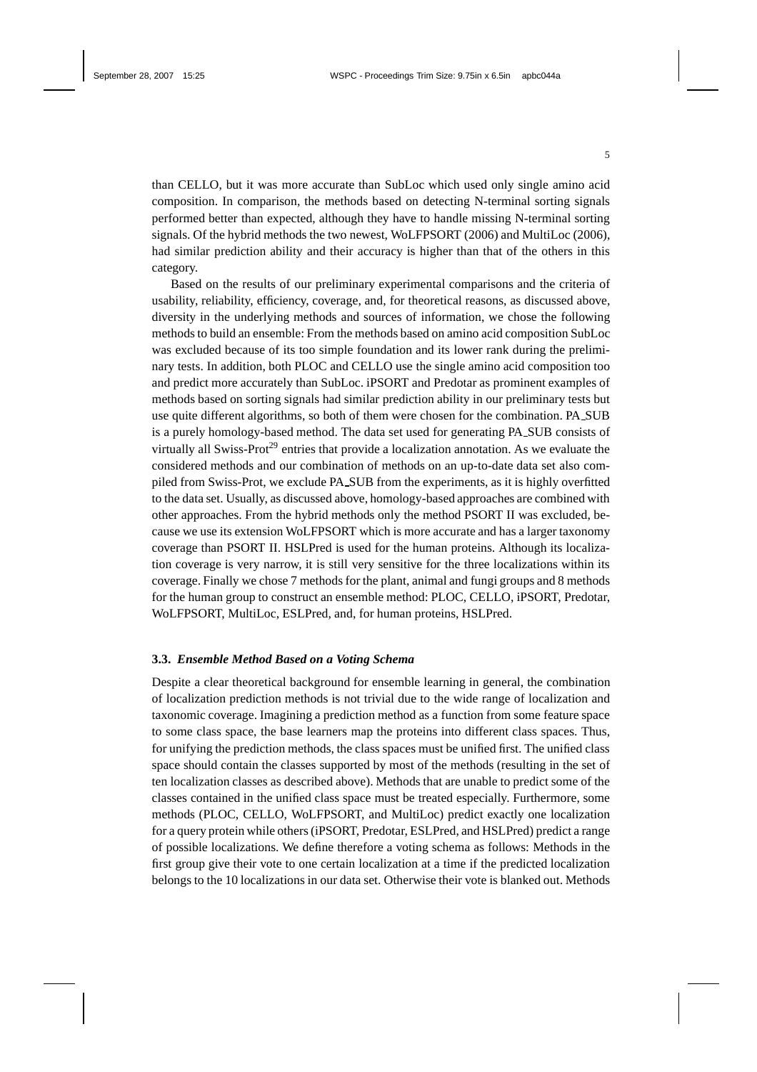than CELLO, but it was more accurate than SubLoc which used only single amino acid composition. In comparison, the methods based on detecting N-terminal sorting signals performed better than expected, although they have to handle missing N-terminal sorting signals. Of the hybrid methods the two newest, WoLFPSORT (2006) and MultiLoc (2006), had similar prediction ability and their accuracy is higher than that of the others in this category.

Based on the results of our preliminary experimental comparisons and the criteria of usability, reliability, efficiency, coverage, and, for theoretical reasons, as discussed above, diversity in the underlying methods and sources of information, we chose the following methods to build an ensemble: From the methods based on amino acid composition SubLoc was excluded because of its too simple foundation and its lower rank during the preliminary tests. In addition, both PLOC and CELLO use the single amino acid composition too and predict more accurately than SubLoc. iPSORT and Predotar as prominent examples of methods based on sorting signals had similar prediction ability in our preliminary tests but use quite different algorithms, so both of them were chosen for the combination. PA SUB is a purely homology-based method. The data set used for generating PA SUB consists of virtually all Swiss-Prot<sup>29</sup> entries that provide a localization annotation. As we evaluate the considered methods and our combination of methods on an up-to-date data set also compiled from Swiss-Prot, we exclude PA SUB from the experiments, as it is highly overfitted to the data set. Usually, as discussed above, homology-based approaches are combined with other approaches. From the hybrid methods only the method PSORT II was excluded, because we use its extension WoLFPSORT which is more accurate and has a larger taxonomy coverage than PSORT II. HSLPred is used for the human proteins. Although its localization coverage is very narrow, it is still very sensitive for the three localizations within its coverage. Finally we chose 7 methods for the plant, animal and fungi groups and 8 methods for the human group to construct an ensemble method: PLOC, CELLO, iPSORT, Predotar, WoLFPSORT, MultiLoc, ESLPred, and, for human proteins, HSLPred.

#### **3.3.** *Ensemble Method Based on a Voting Schema*

Despite a clear theoretical background for ensemble learning in general, the combination of localization prediction methods is not trivial due to the wide range of localization and taxonomic coverage. Imagining a prediction method as a function from some feature space to some class space, the base learners map the proteins into different class spaces. Thus, for unifying the prediction methods, the class spaces must be unified first. The unified class space should contain the classes supported by most of the methods (resulting in the set of ten localization classes as described above). Methods that are unable to predict some of the classes contained in the unified class space must be treated especially. Furthermore, some methods (PLOC, CELLO, WoLFPSORT, and MultiLoc) predict exactly one localization for a query protein while others (iPSORT, Predotar, ESLPred, and HSLPred) predict a range of possible localizations. We define therefore a voting schema as follows: Methods in the first group give their vote to one certain localization at a time if the predicted localization belongs to the 10 localizations in our data set. Otherwise their vote is blanked out. Methods

5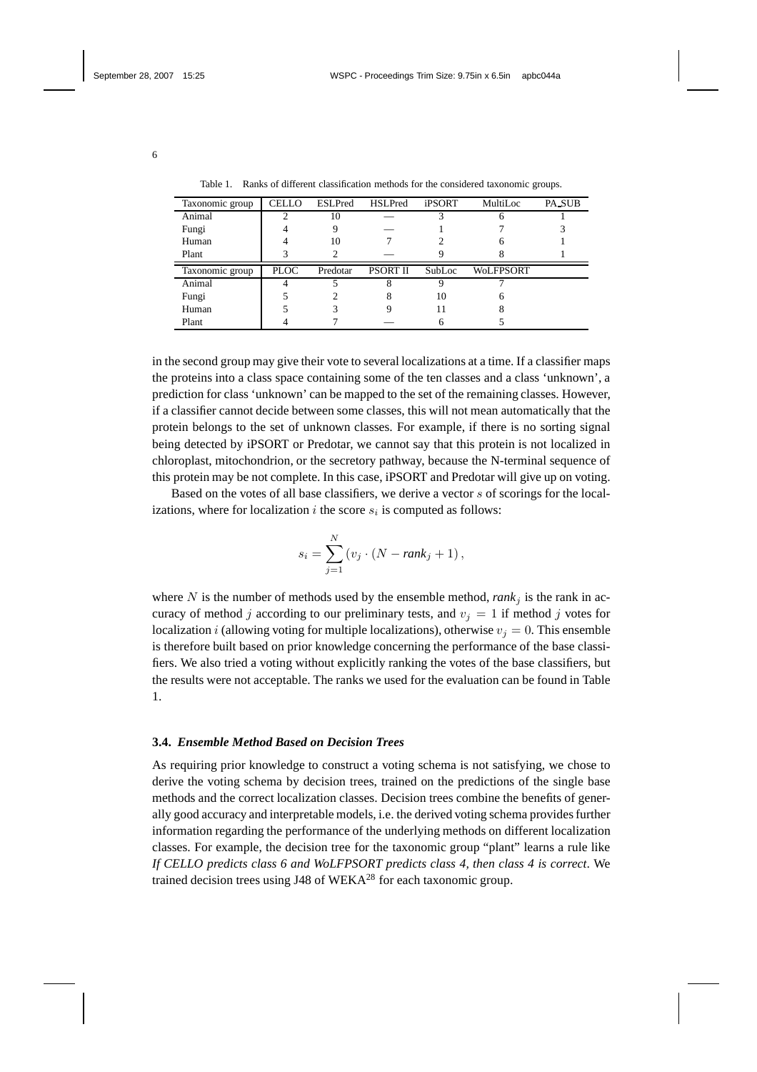|  | Table 1. Ranks of different classification methods for the considered taxonomic groups. |  |  |  |  |  |  |
|--|-----------------------------------------------------------------------------------------|--|--|--|--|--|--|
|--|-----------------------------------------------------------------------------------------|--|--|--|--|--|--|

| Taxonomic group | <b>CELLO</b> | <b>ESLPred</b> | <b>HSLPred</b>  | <b>iPSORT</b> | MultiLoc         | <b>PA_SUB</b> |
|-----------------|--------------|----------------|-----------------|---------------|------------------|---------------|
| Animal          |              | 10             |                 |               |                  |               |
| Fungi           |              |                |                 |               |                  |               |
| Human           |              | 10             |                 |               |                  |               |
| Plant           |              |                |                 |               |                  |               |
|                 |              |                |                 |               |                  |               |
| Taxonomic group | <b>PLOC</b>  | Predotar       | <b>PSORT II</b> | SubLoc        | <b>WOLFPSORT</b> |               |
| Animal          |              |                |                 |               |                  |               |
| Fungi           |              |                |                 | 10            |                  |               |
| Human           |              |                |                 | 11            |                  |               |

in the second group may give their vote to several localizations at a time. If a classifier maps the proteins into a class space containing some of the ten classes and a class 'unknown', a prediction for class 'unknown' can be mapped to the set of the remaining classes. However, if a classifier cannot decide between some classes, this will not mean automatically that the protein belongs to the set of unknown classes. For example, if there is no sorting signal being detected by iPSORT or Predotar, we cannot say that this protein is not localized in chloroplast, mitochondrion, or the secretory pathway, because the N-terminal sequence of this protein may be not complete. In this case, iPSORT and Predotar will give up on voting.

Based on the votes of all base classifiers, we derive a vector s of scorings for the localizations, where for localization i the score  $s_i$  is computed as follows:

$$
s_i = \sum_{j=1}^N \left( v_j \cdot (N - rank_j + 1) \right),
$$

where N is the number of methods used by the ensemble method,  $rank_j$  is the rank in accuracy of method j according to our preliminary tests, and  $v_i = 1$  if method j votes for localization *i* (allowing voting for multiple localizations), otherwise  $v_j = 0$ . This ensemble is therefore built based on prior knowledge concerning the performance of the base classifiers. We also tried a voting without explicitly ranking the votes of the base classifiers, but the results were not acceptable. The ranks we used for the evaluation can be found in Table 1.

### **3.4.** *Ensemble Method Based on Decision Trees*

As requiring prior knowledge to construct a voting schema is not satisfying, we chose to derive the voting schema by decision trees, trained on the predictions of the single base methods and the correct localization classes. Decision trees combine the benefits of generally good accuracy and interpretable models, i.e. the derived voting schema provides further information regarding the performance of the underlying methods on different localization classes. For example, the decision tree for the taxonomic group "plant" learns a rule like *If CELLO predicts class 6 and WoLFPSORT predicts class 4, then class 4 is correct*. We trained decision trees using J48 of  $WEXA^{28}$  for each taxonomic group.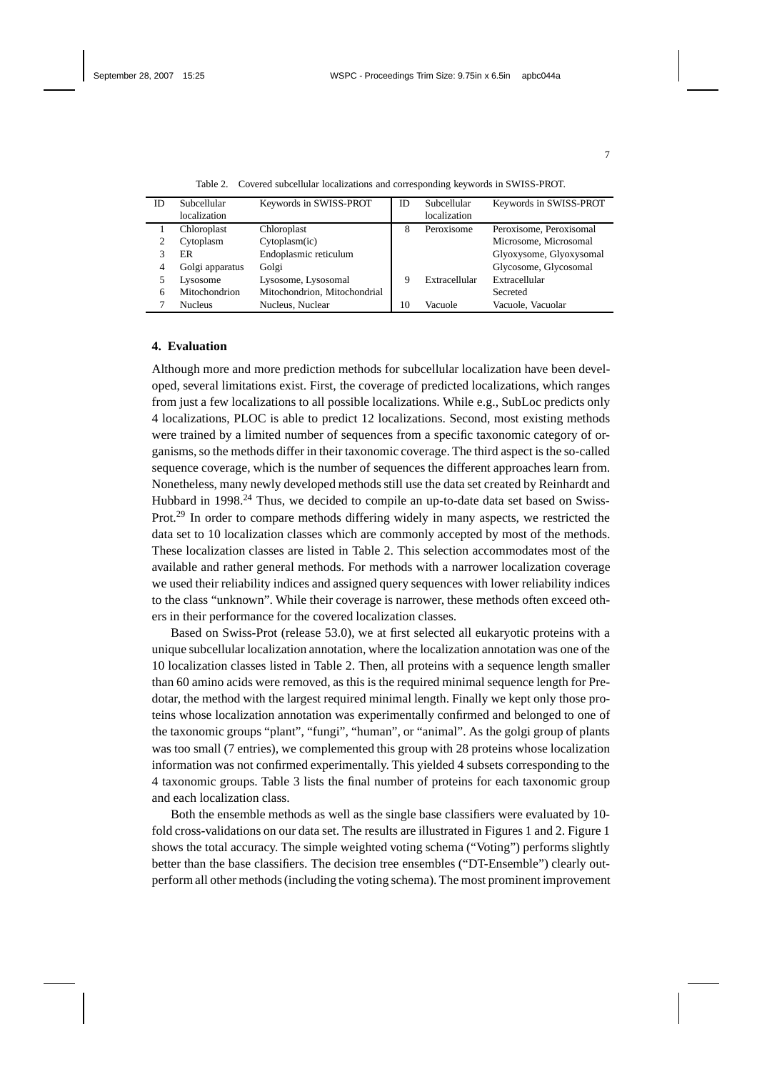| ID | Subcellular     | Keywords in SWISS-PROT       | ID | Subcellular   | Keywords in SWISS-PROT  |
|----|-----------------|------------------------------|----|---------------|-------------------------|
|    | localization    |                              |    | localization  |                         |
|    | Chloroplast     | Chloroplast                  | 8  | Peroxisome    | Peroxisome, Peroxisomal |
|    | Cytoplasm       | Cytoplasm(ic)                |    |               | Microsome, Microsomal   |
|    | ER              | Endoplasmic reticulum        |    |               | Glyoxysome, Glyoxysomal |
|    | Golgi apparatus | Golgi                        |    |               | Glycosome, Glycosomal   |
|    | Lysosome        | Lysosome, Lysosomal          | 9  | Extracellular | Extracellular           |
| 6  | Mitochondrion   | Mitochondrion, Mitochondrial |    |               | Secreted                |
|    | <b>Nucleus</b>  | Nucleus, Nuclear             | 10 | Vacuole       | Vacuole, Vacuolar       |

Table 2. Covered subcellular localizations and corresponding keywords in SWISS-PROT.

#### **4. Evaluation**

Although more and more prediction methods for subcellular localization have been developed, several limitations exist. First, the coverage of predicted localizations, which ranges from just a few localizations to all possible localizations. While e.g., SubLoc predicts only 4 localizations, PLOC is able to predict 12 localizations. Second, most existing methods were trained by a limited number of sequences from a specific taxonomic category of organisms, so the methods differ in their taxonomic coverage. The third aspect is the so-called sequence coverage, which is the number of sequences the different approaches learn from. Nonetheless, many newly developed methods still use the data set created by Reinhardt and Hubbard in 1998.<sup>24</sup> Thus, we decided to compile an up-to-date data set based on Swiss-Prot.<sup>29</sup> In order to compare methods differing widely in many aspects, we restricted the data set to 10 localization classes which are commonly accepted by most of the methods. These localization classes are listed in Table 2. This selection accommodates most of the available and rather general methods. For methods with a narrower localization coverage we used their reliability indices and assigned query sequences with lower reliability indices to the class "unknown". While their coverage is narrower, these methods often exceed others in their performance for the covered localization classes.

Based on Swiss-Prot (release 53.0), we at first selected all eukaryotic proteins with a unique subcellular localization annotation, where the localization annotation was one of the 10 localization classes listed in Table 2. Then, all proteins with a sequence length smaller than 60 amino acids were removed, as this is the required minimal sequence length for Predotar, the method with the largest required minimal length. Finally we kept only those proteins whose localization annotation was experimentally confirmed and belonged to one of the taxonomic groups "plant", "fungi", "human", or "animal". As the golgi group of plants was too small (7 entries), we complemented this group with 28 proteins whose localization information was not confirmed experimentally. This yielded 4 subsets corresponding to the 4 taxonomic groups. Table 3 lists the final number of proteins for each taxonomic group and each localization class.

Both the ensemble methods as well as the single base classifiers were evaluated by 10 fold cross-validations on our data set. The results are illustrated in Figures 1 and 2. Figure 1 shows the total accuracy. The simple weighted voting schema ("Voting") performs slightly better than the base classifiers. The decision tree ensembles ("DT-Ensemble") clearly outperform all other methods (including the voting schema). The most prominent improvement

7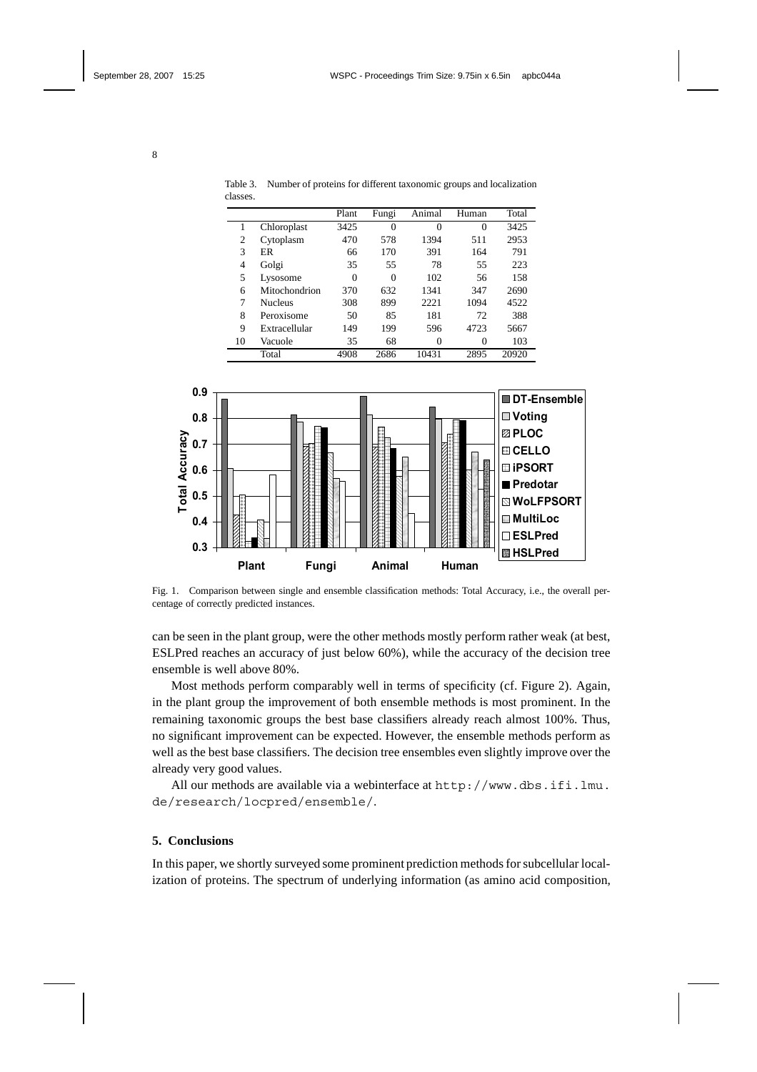|          | Table 3. Number of proteins for different taxonomic groups and localization |
|----------|-----------------------------------------------------------------------------|
| classes. |                                                                             |

|    |                | Plant    | Fungi | Animal   | Human    | Total |
|----|----------------|----------|-------|----------|----------|-------|
|    |                |          |       |          |          |       |
| 1  | Chloroplast    | 3425     | 0     | $\Omega$ | $\Omega$ | 3425  |
| 2  | Cytoplasm      | 470      | 578   | 1394     | 511      | 2953  |
| 3  | ER             | 66       | 170   | 391      | 164      | 791   |
| 4  | Golgi          | 35       | 55    | 78       | 55       | 223   |
| 5  | Lysosome       | $\Omega$ | 0     | 102      | 56       | 158   |
| 6  | Mitochondrion  | 370      | 632   | 1341     | 347      | 2690  |
| 7  | <b>Nucleus</b> | 308      | 899   | 2221     | 1094     | 4522  |
| 8  | Peroxisome     | 50       | 85    | 181      | 72       | 388   |
| 9  | Extracellular  | 149      | 199   | 596      | 4723     | 5667  |
| 10 | Vacuole        | 35       | 68    | 0        | $\Omega$ | 103   |
|    | Total          | 4908     | 2686  | 10431    | 2895     | 20920 |



Fig. 1. Comparison between single and ensemble classification methods: Total Accuracy, i.e., the overall percentage of correctly predicted instances.

can be seen in the plant group, were the other methods mostly perform rather weak (at best, ESLPred reaches an accuracy of just below 60%), while the accuracy of the decision tree ensemble is well above 80%.

Most methods perform comparably well in terms of specificity (cf. Figure 2). Again, in the plant group the improvement of both ensemble methods is most prominent. In the remaining taxonomic groups the best base classifiers already reach almost 100%. Thus, no significant improvement can be expected. However, the ensemble methods perform as well as the best base classifiers. The decision tree ensembles even slightly improve over the already very good values.

All our methods are available via a webinterface at http://www.dbs.ifi.lmu. de/research/locpred/ensemble/.

### **5. Conclusions**

In this paper, we shortly surveyed some prominent prediction methods for subcellular localization of proteins. The spectrum of underlying information (as amino acid composition,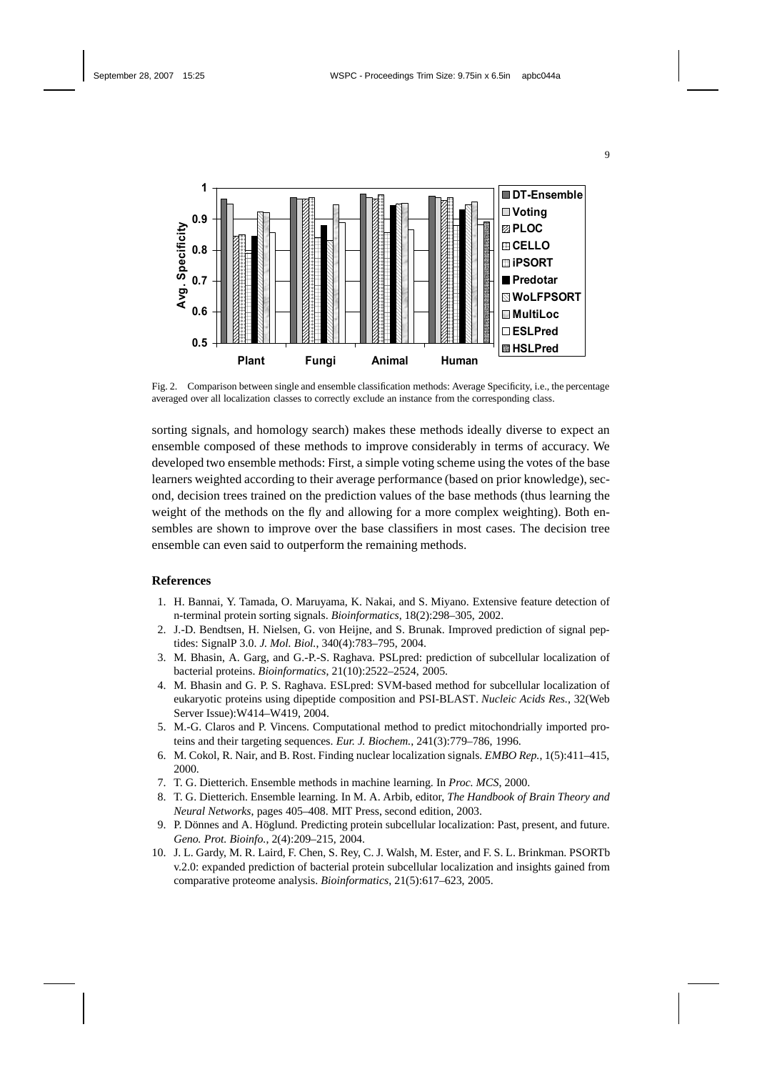

Fig. 2. Comparison between single and ensemble classification methods: Average Specificity, i.e., the percentage averaged over all localization classes to correctly exclude an instance from the corresponding class.

sorting signals, and homology search) makes these methods ideally diverse to expect an ensemble composed of these methods to improve considerably in terms of accuracy. We developed two ensemble methods: First, a simple voting scheme using the votes of the base learners weighted according to their average performance (based on prior knowledge), second, decision trees trained on the prediction values of the base methods (thus learning the weight of the methods on the fly and allowing for a more complex weighting). Both ensembles are shown to improve over the base classifiers in most cases. The decision tree ensemble can even said to outperform the remaining methods.

## **References**

- 1. H. Bannai, Y. Tamada, O. Maruyama, K. Nakai, and S. Miyano. Extensive feature detection of n-terminal protein sorting signals. *Bioinformatics*, 18(2):298–305, 2002.
- 2. J.-D. Bendtsen, H. Nielsen, G. von Heijne, and S. Brunak. Improved prediction of signal peptides: SignalP 3.0. *J. Mol. Biol.*, 340(4):783–795, 2004.
- 3. M. Bhasin, A. Garg, and G.-P.-S. Raghava. PSLpred: prediction of subcellular localization of bacterial proteins. *Bioinformatics*, 21(10):2522–2524, 2005.
- 4. M. Bhasin and G. P. S. Raghava. ESLpred: SVM-based method for subcellular localization of eukaryotic proteins using dipeptide composition and PSI-BLAST. *Nucleic Acids Res.*, 32(Web Server Issue):W414–W419, 2004.
- 5. M.-G. Claros and P. Vincens. Computational method to predict mitochondrially imported proteins and their targeting sequences. *Eur. J. Biochem.*, 241(3):779–786, 1996.
- 6. M. Cokol, R. Nair, and B. Rost. Finding nuclear localization signals. *EMBO Rep.*, 1(5):411–415, 2000.
- 7. T. G. Dietterich. Ensemble methods in machine learning. In *Proc. MCS*, 2000.
- 8. T. G. Dietterich. Ensemble learning. In M. A. Arbib, editor, *The Handbook of Brain Theory and Neural Networks*, pages 405–408. MIT Press, second edition, 2003.
- 9. P. Dönnes and A. Höglund. Predicting protein subcellular localization: Past, present, and future. *Geno. Prot. Bioinfo.*, 2(4):209–215, 2004.
- 10. J. L. Gardy, M. R. Laird, F. Chen, S. Rey, C. J. Walsh, M. Ester, and F. S. L. Brinkman. PSORTb v.2.0: expanded prediction of bacterial protein subcellular localization and insights gained from comparative proteome analysis. *Bioinformatics*, 21(5):617–623, 2005.